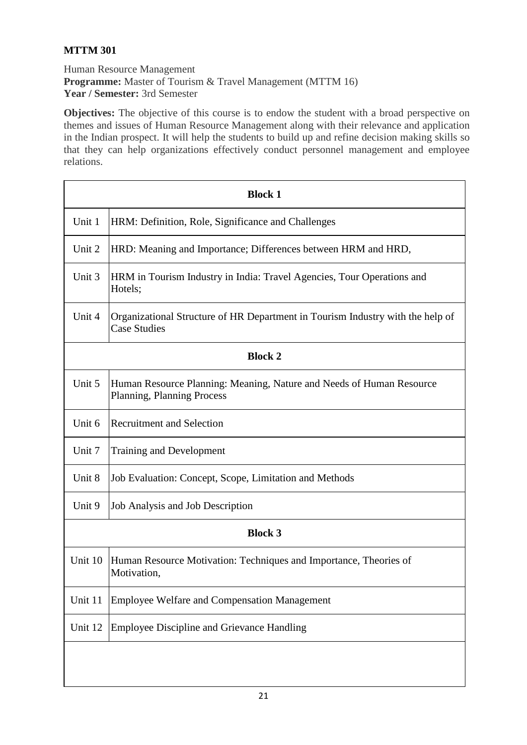## **MTTM 301**

Human Resource Management **Programme:** Master of Tourism & Travel Management (MTTM 16) **Year / Semester:** 3rd Semester

**Objectives:** The objective of this course is to endow the student with a broad perspective on themes and issues of Human Resource Management along with their relevance and application in the Indian prospect. It will help the students to build up and refine decision making skills so that they can help organizations effectively conduct personnel management and employee relations.

| <b>Block 1</b> |                                                                                                           |
|----------------|-----------------------------------------------------------------------------------------------------------|
| Unit 1         | HRM: Definition, Role, Significance and Challenges                                                        |
| Unit 2         | HRD: Meaning and Importance; Differences between HRM and HRD,                                             |
| Unit 3         | HRM in Tourism Industry in India: Travel Agencies, Tour Operations and<br>Hotels;                         |
| Unit 4         | Organizational Structure of HR Department in Tourism Industry with the help of<br><b>Case Studies</b>     |
| <b>Block 2</b> |                                                                                                           |
| Unit 5         | Human Resource Planning: Meaning, Nature and Needs of Human Resource<br><b>Planning, Planning Process</b> |
| Unit 6         | <b>Recruitment and Selection</b>                                                                          |
| Unit 7         | <b>Training and Development</b>                                                                           |
| Unit 8         | Job Evaluation: Concept, Scope, Limitation and Methods                                                    |
| Unit 9         | Job Analysis and Job Description                                                                          |
| <b>Block 3</b> |                                                                                                           |
| Unit 10        | Human Resource Motivation: Techniques and Importance, Theories of<br>Motivation,                          |
| Unit 11        | <b>Employee Welfare and Compensation Management</b>                                                       |
| Unit 12        | <b>Employee Discipline and Grievance Handling</b>                                                         |
|                |                                                                                                           |